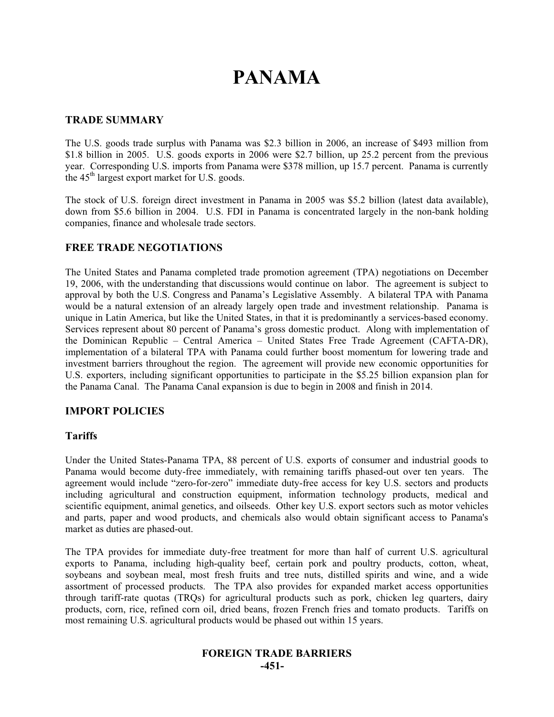# **PANAMA**

#### **TRADE SUMMARY**

The U.S. goods trade surplus with Panama was \$2.3 billion in 2006, an increase of \$493 million from \$1.8 billion in 2005. U.S. goods exports in 2006 were \$2.7 billion, up 25.2 percent from the previous year. Corresponding U.S. imports from Panama were \$378 million, up 15.7 percent. Panama is currently the  $45<sup>th</sup>$  largest export market for U.S. goods.

The stock of U.S. foreign direct investment in Panama in 2005 was \$5.2 billion (latest data available), down from \$5.6 billion in 2004. U.S. FDI in Panama is concentrated largely in the non-bank holding companies, finance and wholesale trade sectors.

### **FREE TRADE NEGOTIATIONS**

The United States and Panama completed trade promotion agreement (TPA) negotiations on December 19, 2006, with the understanding that discussions would continue on labor. The agreement is subject to approval by both the U.S. Congress and Panama's Legislative Assembly. A bilateral TPA with Panama would be a natural extension of an already largely open trade and investment relationship. Panama is unique in Latin America, but like the United States, in that it is predominantly a services-based economy. Services represent about 80 percent of Panama's gross domestic product. Along with implementation of the Dominican Republic – Central America – United States Free Trade Agreement (CAFTA-DR), implementation of a bilateral TPA with Panama could further boost momentum for lowering trade and investment barriers throughout the region. The agreement will provide new economic opportunities for U.S. exporters, including significant opportunities to participate in the \$5.25 billion expansion plan for the Panama Canal. The Panama Canal expansion is due to begin in 2008 and finish in 2014.

#### **IMPORT POLICIES**

#### **Tariffs**

Under the United States-Panama TPA, 88 percent of U.S. exports of consumer and industrial goods to Panama would become duty-free immediately, with remaining tariffs phased-out over ten years. The agreement would include "zero-for-zero" immediate duty-free access for key U.S. sectors and products including agricultural and construction equipment, information technology products, medical and scientific equipment, animal genetics, and oilseeds. Other key U.S. export sectors such as motor vehicles and parts, paper and wood products, and chemicals also would obtain significant access to Panama's market as duties are phased-out.

The TPA provides for immediate duty-free treatment for more than half of current U.S. agricultural exports to Panama, including high-quality beef, certain pork and poultry products, cotton, wheat, soybeans and soybean meal, most fresh fruits and tree nuts, distilled spirits and wine, and a wide assortment of processed products. The TPA also provides for expanded market access opportunities through tariff-rate quotas (TRQs) for agricultural products such as pork, chicken leg quarters, dairy products, corn, rice, refined corn oil, dried beans, frozen French fries and tomato products. Tariffs on most remaining U.S. agricultural products would be phased out within 15 years.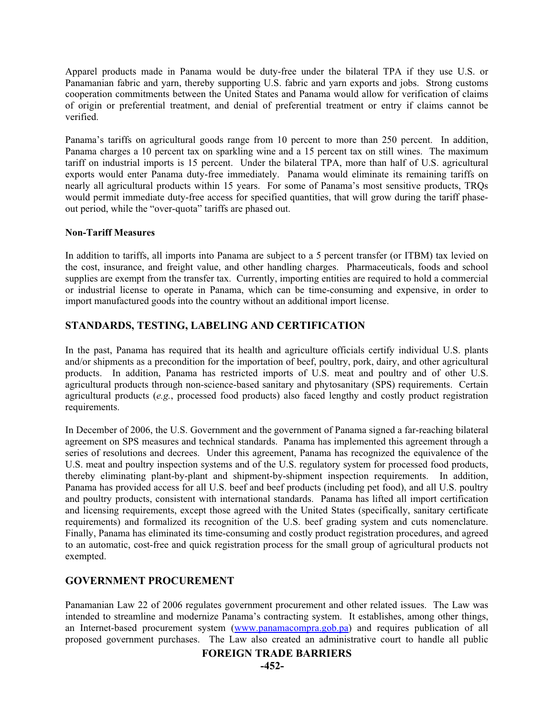Apparel products made in Panama would be duty-free under the bilateral TPA if they use U.S. or Panamanian fabric and yarn, thereby supporting U.S. fabric and yarn exports and jobs. Strong customs cooperation commitments between the United States and Panama would allow for verification of claims of origin or preferential treatment, and denial of preferential treatment or entry if claims cannot be verified.

Panama's tariffs on agricultural goods range from 10 percent to more than 250 percent. In addition, Panama charges a 10 percent tax on sparkling wine and a 15 percent tax on still wines. The maximum tariff on industrial imports is 15 percent. Under the bilateral TPA, more than half of U.S. agricultural exports would enter Panama duty-free immediately. Panama would eliminate its remaining tariffs on nearly all agricultural products within 15 years. For some of Panama's most sensitive products, TRQs would permit immediate duty-free access for specified quantities, that will grow during the tariff phaseout period, while the "over-quota" tariffs are phased out.

#### **Non-Tariff Measures**

In addition to tariffs, all imports into Panama are subject to a 5 percent transfer (or ITBM) tax levied on the cost, insurance, and freight value, and other handling charges. Pharmaceuticals, foods and school supplies are exempt from the transfer tax. Currently, importing entities are required to hold a commercial or industrial license to operate in Panama, which can be time-consuming and expensive, in order to import manufactured goods into the country without an additional import license.

### **STANDARDS, TESTING, LABELING AND CERTIFICATION**

In the past, Panama has required that its health and agriculture officials certify individual U.S. plants and/or shipments as a precondition for the importation of beef, poultry, pork, dairy, and other agricultural products. In addition, Panama has restricted imports of U.S. meat and poultry and of other U.S. agricultural products through non-science-based sanitary and phytosanitary (SPS) requirements. Certain agricultural products (*e.g.*, processed food products) also faced lengthy and costly product registration requirements.

In December of 2006, the U.S. Government and the government of Panama signed a far-reaching bilateral agreement on SPS measures and technical standards. Panama has implemented this agreement through a series of resolutions and decrees. Under this agreement, Panama has recognized the equivalence of the U.S. meat and poultry inspection systems and of the U.S. regulatory system for processed food products, thereby eliminating plant-by-plant and shipment-by-shipment inspection requirements. In addition, Panama has provided access for all U.S. beef and beef products (including pet food), and all U.S. poultry and poultry products, consistent with international standards. Panama has lifted all import certification and licensing requirements, except those agreed with the United States (specifically, sanitary certificate requirements) and formalized its recognition of the U.S. beef grading system and cuts nomenclature. Finally, Panama has eliminated its time-consuming and costly product registration procedures, and agreed to an automatic, cost-free and quick registration process for the small group of agricultural products not exempted.

#### **GOVERNMENT PROCUREMENT**

Panamanian Law 22 of 2006 regulates government procurement and other related issues. The Law was intended to streamline and modernize Panama's contracting system. It establishes, among other things, an Internet-based procurement system (www.panamacompra.gob.pa) and requires publication of all proposed government purchases. The Law also created an administrative court to handle all public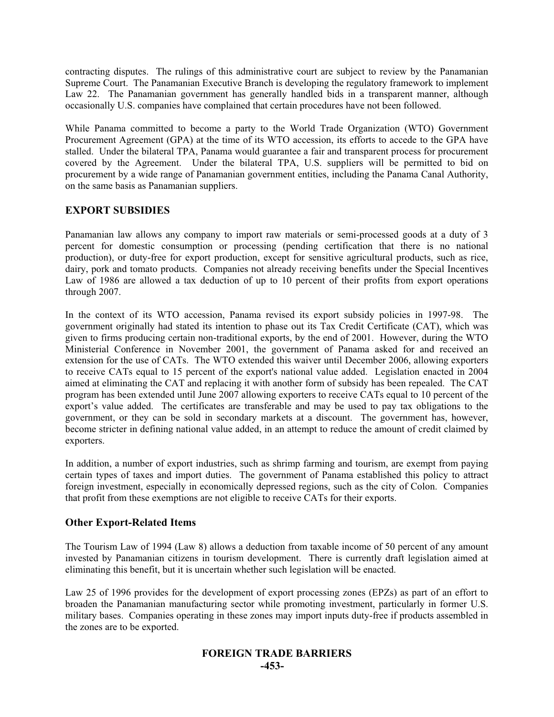contracting disputes. The rulings of this administrative court are subject to review by the Panamanian Supreme Court. The Panamanian Executive Branch is developing the regulatory framework to implement Law 22. The Panamanian government has generally handled bids in a transparent manner, although occasionally U.S. companies have complained that certain procedures have not been followed.

While Panama committed to become a party to the World Trade Organization (WTO) Government Procurement Agreement (GPA) at the time of its WTO accession, its efforts to accede to the GPA have stalled. Under the bilateral TPA, Panama would guarantee a fair and transparent process for procurement covered by the Agreement. Under the bilateral TPA, U.S. suppliers will be permitted to bid on procurement by a wide range of Panamanian government entities, including the Panama Canal Authority, on the same basis as Panamanian suppliers.

### **EXPORT SUBSIDIES**

Panamanian law allows any company to import raw materials or semi-processed goods at a duty of 3 percent for domestic consumption or processing (pending certification that there is no national production), or duty-free for export production, except for sensitive agricultural products, such as rice, dairy, pork and tomato products. Companies not already receiving benefits under the Special Incentives Law of 1986 are allowed a tax deduction of up to 10 percent of their profits from export operations through 2007.

In the context of its WTO accession, Panama revised its export subsidy policies in 1997-98. The government originally had stated its intention to phase out its Tax Credit Certificate (CAT), which was given to firms producing certain non-traditional exports, by the end of 2001. However, during the WTO Ministerial Conference in November 2001, the government of Panama asked for and received an extension for the use of CATs. The WTO extended this waiver until December 2006, allowing exporters to receive CATs equal to 15 percent of the export's national value added. Legislation enacted in 2004 aimed at eliminating the CAT and replacing it with another form of subsidy has been repealed. The CAT program has been extended until June 2007 allowing exporters to receive CATs equal to 10 percent of the export's value added. The certificates are transferable and may be used to pay tax obligations to the government, or they can be sold in secondary markets at a discount. The government has, however, become stricter in defining national value added, in an attempt to reduce the amount of credit claimed by exporters.

In addition, a number of export industries, such as shrimp farming and tourism, are exempt from paying certain types of taxes and import duties. The government of Panama established this policy to attract foreign investment, especially in economically depressed regions, such as the city of Colon. Companies that profit from these exemptions are not eligible to receive CATs for their exports.

### **Other Export-Related Items**

The Tourism Law of 1994 (Law 8) allows a deduction from taxable income of 50 percent of any amount invested by Panamanian citizens in tourism development. There is currently draft legislation aimed at eliminating this benefit, but it is uncertain whether such legislation will be enacted.

Law 25 of 1996 provides for the development of export processing zones (EPZs) as part of an effort to broaden the Panamanian manufacturing sector while promoting investment, particularly in former U.S. military bases. Companies operating in these zones may import inputs duty-free if products assembled in the zones are to be exported.

## **FOREIGN TRADE BARRIERS -453-**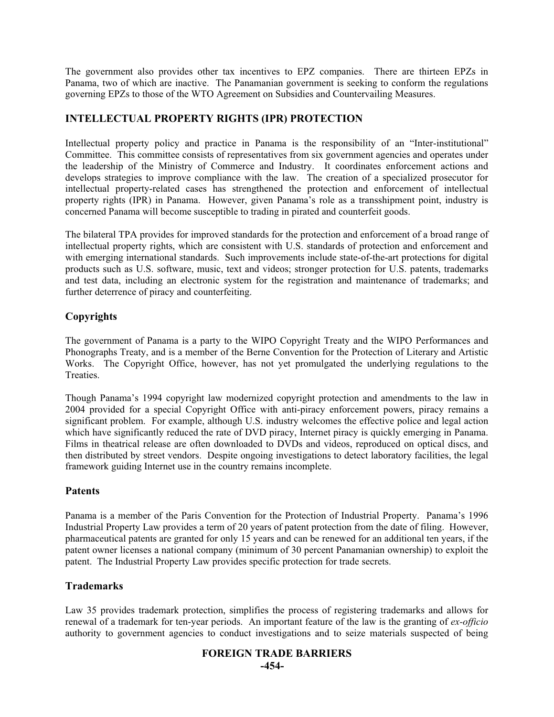The government also provides other tax incentives to EPZ companies. There are thirteen EPZs in Panama, two of which are inactive. The Panamanian government is seeking to conform the regulations governing EPZs to those of the WTO Agreement on Subsidies and Countervailing Measures.

## **INTELLECTUAL PROPERTY RIGHTS (IPR) PROTECTION**

Intellectual property policy and practice in Panama is the responsibility of an "Inter-institutional" Committee. This committee consists of representatives from six government agencies and operates under the leadership of the Ministry of Commerce and Industry. It coordinates enforcement actions and develops strategies to improve compliance with the law. The creation of a specialized prosecutor for intellectual property-related cases has strengthened the protection and enforcement of intellectual property rights (IPR) in Panama. However, given Panama's role as a transshipment point, industry is concerned Panama will become susceptible to trading in pirated and counterfeit goods.

The bilateral TPA provides for improved standards for the protection and enforcement of a broad range of intellectual property rights, which are consistent with U.S. standards of protection and enforcement and with emerging international standards. Such improvements include state-of-the-art protections for digital products such as U.S. software, music, text and videos; stronger protection for U.S. patents, trademarks and test data, including an electronic system for the registration and maintenance of trademarks; and further deterrence of piracy and counterfeiting.

### **Copyrights**

The government of Panama is a party to the WIPO Copyright Treaty and the WIPO Performances and Phonographs Treaty, and is a member of the Berne Convention for the Protection of Literary and Artistic Works. The Copyright Office, however, has not yet promulgated the underlying regulations to the Treaties.

Though Panama's 1994 copyright law modernized copyright protection and amendments to the law in 2004 provided for a special Copyright Office with anti-piracy enforcement powers, piracy remains a significant problem. For example, although U.S. industry welcomes the effective police and legal action which have significantly reduced the rate of DVD piracy, Internet piracy is quickly emerging in Panama. Films in theatrical release are often downloaded to DVDs and videos, reproduced on optical discs, and then distributed by street vendors. Despite ongoing investigations to detect laboratory facilities, the legal framework guiding Internet use in the country remains incomplete.

### **Patents**

Panama is a member of the Paris Convention for the Protection of Industrial Property. Panama's 1996 Industrial Property Law provides a term of 20 years of patent protection from the date of filing. However, pharmaceutical patents are granted for only 15 years and can be renewed for an additional ten years, if the patent owner licenses a national company (minimum of 30 percent Panamanian ownership) to exploit the patent. The Industrial Property Law provides specific protection for trade secrets.

### **Trademarks**

Law 35 provides trademark protection, simplifies the process of registering trademarks and allows for renewal of a trademark for ten-year periods. An important feature of the law is the granting of *ex-officio* authority to government agencies to conduct investigations and to seize materials suspected of being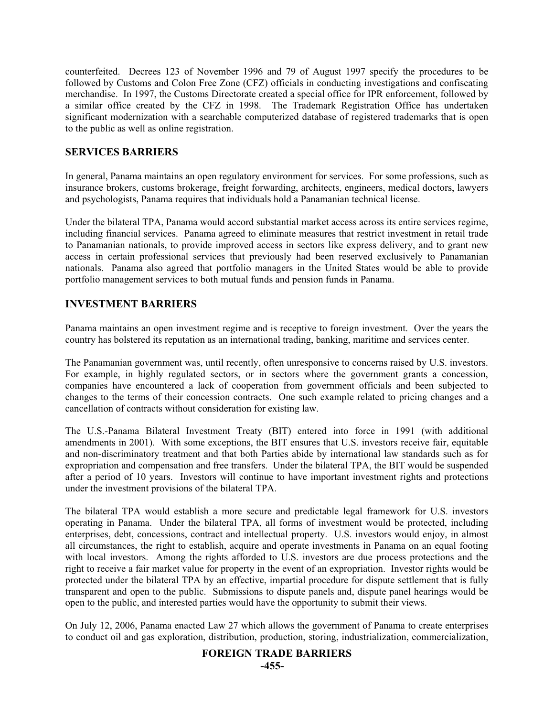counterfeited. Decrees 123 of November 1996 and 79 of August 1997 specify the procedures to be followed by Customs and Colon Free Zone (CFZ) officials in conducting investigations and confiscating merchandise. In 1997, the Customs Directorate created a special office for IPR enforcement, followed by a similar office created by the CFZ in 1998. The Trademark Registration Office has undertaken significant modernization with a searchable computerized database of registered trademarks that is open to the public as well as online registration.

## **SERVICES BARRIERS**

In general, Panama maintains an open regulatory environment for services. For some professions, such as insurance brokers, customs brokerage, freight forwarding, architects, engineers, medical doctors, lawyers and psychologists, Panama requires that individuals hold a Panamanian technical license.

Under the bilateral TPA, Panama would accord substantial market access across its entire services regime, including financial services. Panama agreed to eliminate measures that restrict investment in retail trade to Panamanian nationals, to provide improved access in sectors like express delivery, and to grant new access in certain professional services that previously had been reserved exclusively to Panamanian nationals. Panama also agreed that portfolio managers in the United States would be able to provide portfolio management services to both mutual funds and pension funds in Panama.

### **INVESTMENT BARRIERS**

Panama maintains an open investment regime and is receptive to foreign investment. Over the years the country has bolstered its reputation as an international trading, banking, maritime and services center.

The Panamanian government was, until recently, often unresponsive to concerns raised by U.S. investors. For example, in highly regulated sectors, or in sectors where the government grants a concession, companies have encountered a lack of cooperation from government officials and been subjected to changes to the terms of their concession contracts. One such example related to pricing changes and a cancellation of contracts without consideration for existing law.

The U.S.-Panama Bilateral Investment Treaty (BIT) entered into force in 1991 (with additional amendments in 2001). With some exceptions, the BIT ensures that U.S. investors receive fair, equitable and non-discriminatory treatment and that both Parties abide by international law standards such as for expropriation and compensation and free transfers. Under the bilateral TPA, the BIT would be suspended after a period of 10 years. Investors will continue to have important investment rights and protections under the investment provisions of the bilateral TPA.

The bilateral TPA would establish a more secure and predictable legal framework for U.S. investors operating in Panama. Under the bilateral TPA, all forms of investment would be protected, including enterprises, debt, concessions, contract and intellectual property. U.S. investors would enjoy, in almost all circumstances, the right to establish, acquire and operate investments in Panama on an equal footing with local investors. Among the rights afforded to U.S. investors are due process protections and the right to receive a fair market value for property in the event of an expropriation. Investor rights would be protected under the bilateral TPA by an effective, impartial procedure for dispute settlement that is fully transparent and open to the public. Submissions to dispute panels and, dispute panel hearings would be open to the public, and interested parties would have the opportunity to submit their views.

On July 12, 2006, Panama enacted Law 27 which allows the government of Panama to create enterprises to conduct oil and gas exploration, distribution, production, storing, industrialization, commercialization,